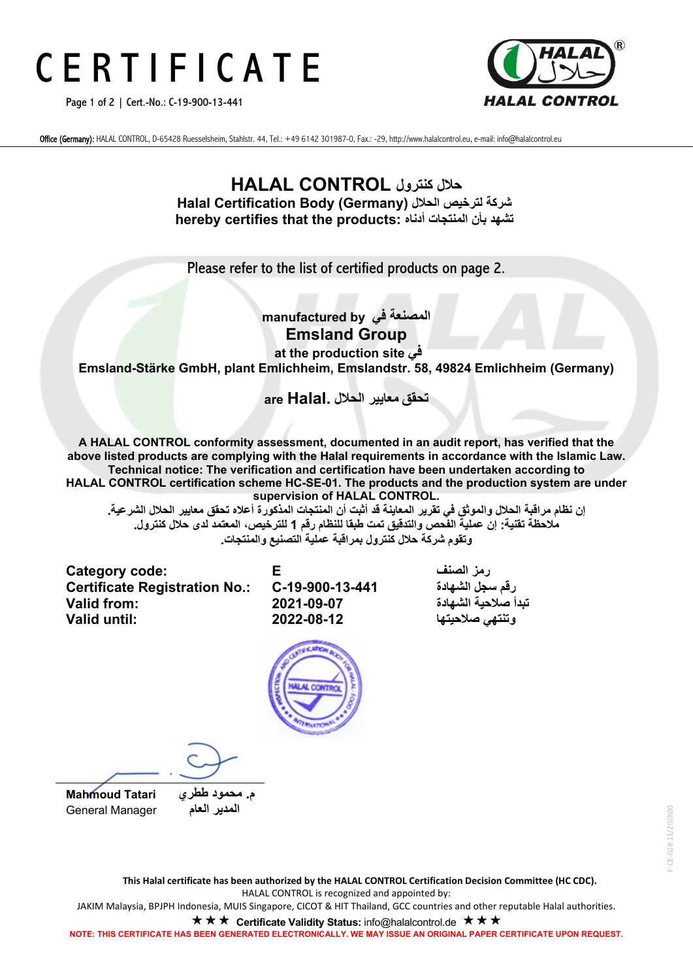# C E R T I F I C A T E

Page 1 of 2 | Cert.-No.: C-19-900-13-441



Office (Germany): HALAL CONTROL, D-65428 Ruesselsheim, Stahlstr. 44, Tel.: +49 6142 301987-0, Fax.: -29, http://www.halalcontrol.eu, e-mail: info@halalcontrol.eu

#### **حلال كنترول CONTROL HALAL Halal Certification Body (Germany) الحلال لترخیص شركة hereby certifies that the products: أدناه المنتجات بأن تشھد**

Please refer to the list of certified products on page 2.

#### **المصنعة في by manufactured Emsland Group**

**at the production site في Emsland-Stärke GmbH, plant Emlichheim, Emslandstr. 58, 49824 Emlichheim (Germany)**

**تحقق معاییر الحلال .Halal are**

**A HALAL CONTROL conformity assessment, documented in an audit report, has verified that the above listed products are complying with the Halal requirements in accordance with the Islamic Law. Technical notice: The verification and certification have been undertaken according to HALAL CONTROL certification scheme HC-SE-01. The products and the production system are under supervision of HALAL CONTROL.**

**إن نظام مراقبة الحلال والموثق في تقریر المعاینة قد أثبت أن المنتجات المذكورة أعلاه تحقق معاییر الحلال الشرعیة. ملاحظة تقنیة: إن عملیة الفحص والتدقیق تمت طبقا للنظام رقم 1 للترخیص، المعتمد لدى حلال كنترول . وتقوم شركة حلال كنترول بمراقبة عملیة التصنیع والمنتجات .**

**Category code: E الصنف رمز Certificate Registration No.: تبدأ صلاحیة الشھادة 2021-09-07 :from Valid**

**وتنتھي صلاحیتھا 2022-08-12 :until Valid**



م. محمود طط*ر ي Mahmoud Tatari*<br> المدير العام **General Manager** 

F-CE-028 11/20/R00 F-CE-028 11/20/R00

**NOTE: THIS CERTIFICATE HAS BEEN GENERATED ELECTRONICALLY. WE MAY ISSUE AN ORIGINAL PAPER CERTIFICATE UPON REQUEST.**